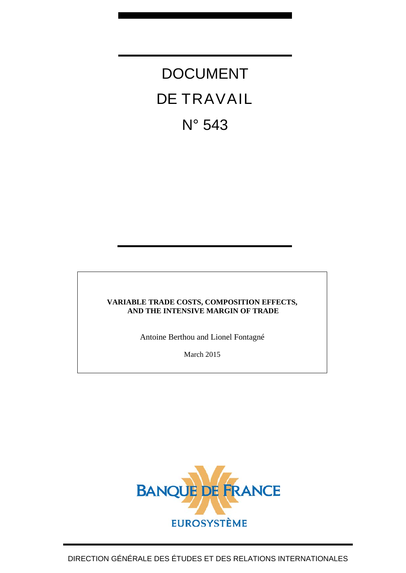# DOCUMENT DE TRAVAIL N° 543

#### **VARIABLE TRADE COSTS, COMPOSITION EFFECTS, AND THE INTENSIVE MARGIN OF TRADE**

Antoine Berthou and Lionel Fontagné

March 2015

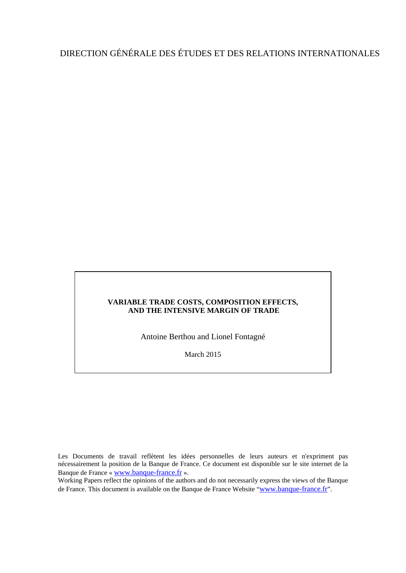## DIRECTION GÉNÉRALE DES ÉTUDES ET DES RELATIONS INTERNATIONALES

#### **VARIABLE TRADE COSTS, COMPOSITION EFFECTS, AND THE INTENSIVE MARGIN OF TRADE**

Antoine Berthou and Lionel Fontagné

March 2015

Les Documents de travail reflètent les idées personnelles de leurs auteurs et n'expriment pas nécessairement la position de la Banque de France. Ce document est disponible sur le site internet de la Banque de France « [www.banque-france.fr](http://www.banque-france.fr/) ».

Working Papers reflect the opinions of the authors and do not necessarily express the views of the Banque de France. This document is available on the Banque de France Website ["www.banque-france.fr"](http://www.banque-france.fr/).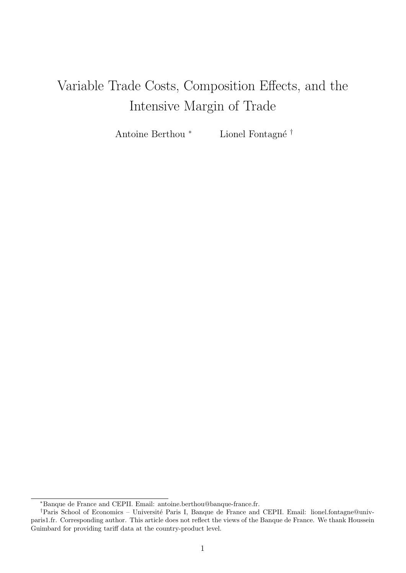## Variable Trade Costs, Composition Effects, and the Intensive Margin of Trade

Antoine Berthou $^*$   $\qquad$  Lionel Fontagné $^\dagger$ 

<sup>∗</sup>Banque de France and CEPII. Email: antoine.berthou@banque-france.fr.

<sup>&</sup>lt;sup>†</sup>Paris School of Economics – Université Paris I, Banque de France and CEPII. Email: lionel.fontagne@univparis1.fr. Corresponding author. This article does not reflect the views of the Banque de France. We thank Houssein Guimbard for providing tariff data at the country-product level.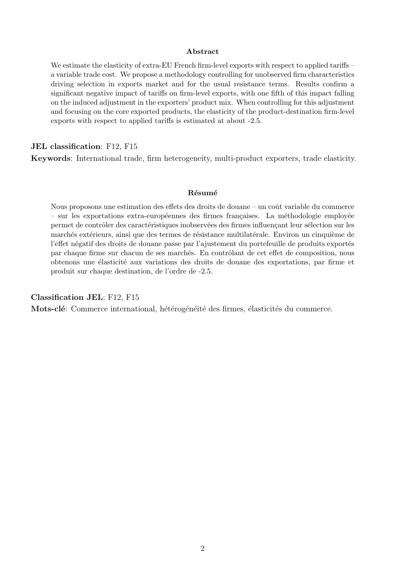#### Abstract

We estimate the elasticity of extra-EU French firm-level exports with respect to applied tariffs – a variable trade cost. We propose a methodology controlling for unobserved firm characteristics driving selection in exports market and for the usual resistance terms. Results confirm a significant negative impact of tariffs on firm-level exports, with one fifth of this impact falling on the induced adjustment in the exporters' product mix. When controlling for this adjustment and focusing on the core exported products, the elasticity of the product-destination firm-level exports with respect to applied tariffs is estimated at about -2.5.

#### JEL classification: F12, F15

Keywords: International trade, firm heterogeneity, multi-product exporters, trade elasticity.

#### Résumé

Nous proposons une estimation des effets des droits de douane – un coût variable du commerce  $-$  sur les exportations extra-européennes des firmes françaises. La méthodologie employée permet de contrôler des caractéristiques inobservées des firmes influençant leur sélection sur les marchés extérieurs, ainsi que des termes de résistance multilatérale. Environ un cinquième de l'effet négatif des droits de douane passe par l'ajustement du portefeuille de produits exportés par chaque firme sur chacun de ses marchés. En contrôlant de cet effet de composition, nous obtenons une élasticité aux variations des droits de douane des exportations, par firme et produit sur chaque destination, de l'ordre de -2.5.

#### Classification JEL: F12, F15

Mots-clé: Commerce international, hétérogénéité des firmes, élasticités du commerce.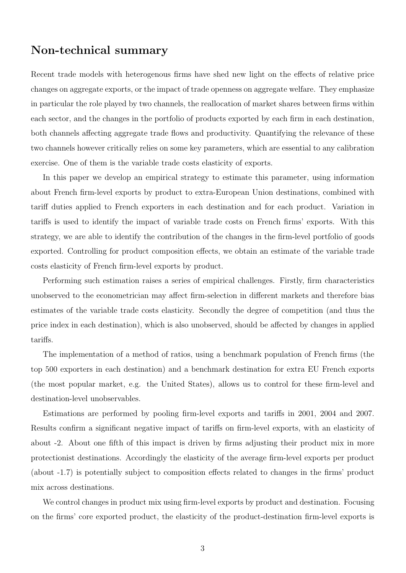## Non-technical summary

Recent trade models with heterogenous firms have shed new light on the effects of relative price changes on aggregate exports, or the impact of trade openness on aggregate welfare. They emphasize in particular the role played by two channels, the reallocation of market shares between firms within each sector, and the changes in the portfolio of products exported by each firm in each destination, both channels affecting aggregate trade flows and productivity. Quantifying the relevance of these two channels however critically relies on some key parameters, which are essential to any calibration exercise. One of them is the variable trade costs elasticity of exports.

In this paper we develop an empirical strategy to estimate this parameter, using information about French firm-level exports by product to extra-European Union destinations, combined with tariff duties applied to French exporters in each destination and for each product. Variation in tariffs is used to identify the impact of variable trade costs on French firms' exports. With this strategy, we are able to identify the contribution of the changes in the firm-level portfolio of goods exported. Controlling for product composition effects, we obtain an estimate of the variable trade costs elasticity of French firm-level exports by product.

Performing such estimation raises a series of empirical challenges. Firstly, firm characteristics unobserved to the econometrician may affect firm-selection in different markets and therefore bias estimates of the variable trade costs elasticity. Secondly the degree of competition (and thus the price index in each destination), which is also unobserved, should be affected by changes in applied tariffs.

The implementation of a method of ratios, using a benchmark population of French firms (the top 500 exporters in each destination) and a benchmark destination for extra EU French exports (the most popular market, e.g. the United States), allows us to control for these firm-level and destination-level unobservables.

Estimations are performed by pooling firm-level exports and tariffs in 2001, 2004 and 2007. Results confirm a significant negative impact of tariffs on firm-level exports, with an elasticity of about -2. About one fifth of this impact is driven by firms adjusting their product mix in more protectionist destinations. Accordingly the elasticity of the average firm-level exports per product (about -1.7) is potentially subject to composition effects related to changes in the firms' product mix across destinations.

We control changes in product mix using firm-level exports by product and destination. Focusing on the firms' core exported product, the elasticity of the product-destination firm-level exports is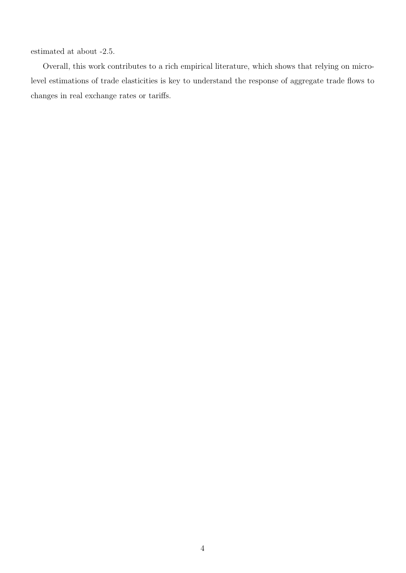estimated at about -2.5.

Overall, this work contributes to a rich empirical literature, which shows that relying on microlevel estimations of trade elasticities is key to understand the response of aggregate trade flows to changes in real exchange rates or tariffs.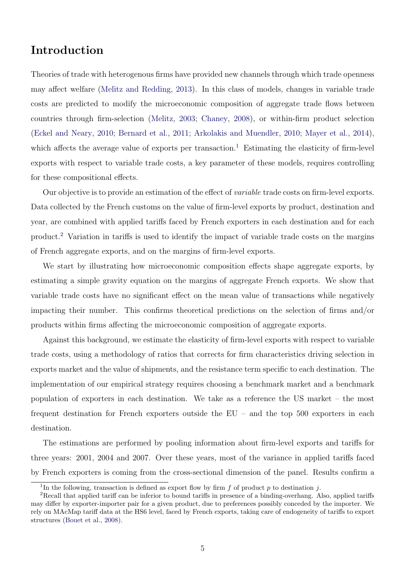## Introduction

Theories of trade with heterogenous firms have provided new channels through which trade openness may affect welfare [\(Melitz and Redding,](#page-24-0) [2013\)](#page-24-0). In this class of models, changes in variable trade costs are predicted to modify the microeconomic composition of aggregate trade flows between countries through firm-selection [\(Melitz,](#page-24-1) [2003;](#page-24-1) [Chaney,](#page-23-0) [2008\)](#page-23-0), or within-firm product selection [\(Eckel and Neary,](#page-24-2) [2010;](#page-24-2) [Bernard et al.,](#page-23-1) [2011;](#page-23-1) [Arkolakis and Muendler,](#page-23-2) [2010;](#page-23-2) [Mayer et al.,](#page-24-3) [2014\)](#page-24-3), which affects the average value of exports per transaction.<sup>[1](#page-6-0)</sup> Estimating the elasticity of firm-level exports with respect to variable trade costs, a key parameter of these models, requires controlling for these compositional effects.

Our objective is to provide an estimation of the effect of variable trade costs on firm-level exports. Data collected by the French customs on the value of firm-level exports by product, destination and year, are combined with applied tariffs faced by French exporters in each destination and for each product.[2](#page-6-1) Variation in tariffs is used to identify the impact of variable trade costs on the margins of French aggregate exports, and on the margins of firm-level exports.

We start by illustrating how microeconomic composition effects shape aggregate exports, by estimating a simple gravity equation on the margins of aggregate French exports. We show that variable trade costs have no significant effect on the mean value of transactions while negatively impacting their number. This confirms theoretical predictions on the selection of firms and/or products within firms affecting the microeconomic composition of aggregate exports.

Against this background, we estimate the elasticity of firm-level exports with respect to variable trade costs, using a methodology of ratios that corrects for firm characteristics driving selection in exports market and the value of shipments, and the resistance term specific to each destination. The implementation of our empirical strategy requires choosing a benchmark market and a benchmark population of exporters in each destination. We take as a reference the US market – the most frequent destination for French exporters outside the EU – and the top 500 exporters in each destination.

The estimations are performed by pooling information about firm-level exports and tariffs for three years: 2001, 2004 and 2007. Over these years, most of the variance in applied tariffs faced by French exporters is coming from the cross-sectional dimension of the panel. Results confirm a

<span id="page-6-1"></span><span id="page-6-0"></span><sup>&</sup>lt;sup>1</sup>In the following, transaction is defined as export flow by firm  $f$  of product  $p$  to destination  $j$ .

<sup>2</sup>Recall that applied tariff can be inferior to bound tariffs in presence of a binding-overhang. Also, applied tariffs may differ by exporter-importer pair for a given product, due to preferences possibly conceded by the importer. We rely on MAcMap tariff data at the HS6 level, faced by French exports, taking care of endogeneity of tariffs to export structures [\(Bouet et al.,](#page-23-3) [2008\)](#page-23-3).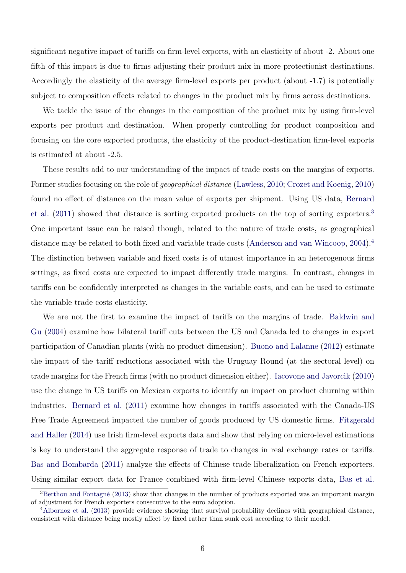significant negative impact of tariffs on firm-level exports, with an elasticity of about -2. About one fifth of this impact is due to firms adjusting their product mix in more protectionist destinations. Accordingly the elasticity of the average firm-level exports per product (about -1.7) is potentially subject to composition effects related to changes in the product mix by firms across destinations.

We tackle the issue of the changes in the composition of the product mix by using firm-level exports per product and destination. When properly controlling for product composition and focusing on the core exported products, the elasticity of the product-destination firm-level exports is estimated at about -2.5.

These results add to our understanding of the impact of trade costs on the margins of exports. Former studies focusing on the role of geographical distance [\(Lawless,](#page-24-4) [2010;](#page-24-4) [Crozet and Koenig,](#page-24-5) [2010\)](#page-24-5) found no effect of distance on the mean value of exports per shipment. Using US data, [Bernard](#page-23-1) [et al.](#page-23-1) [\(2011\)](#page-23-1) showed that distance is sorting exported products on the top of sorting exporters.[3](#page-7-0) One important issue can be raised though, related to the nature of trade costs, as geographical distance may be related to both fixed and variable trade costs [\(Anderson and van Wincoop,](#page-23-4) [2004\)](#page-23-4).<sup>[4](#page-7-1)</sup> The distinction between variable and fixed costs is of utmost importance in an heterogenous firms settings, as fixed costs are expected to impact differently trade margins. In contrast, changes in tariffs can be confidently interpreted as changes in the variable costs, and can be used to estimate the variable trade costs elasticity.

We are not the first to examine the impact of tariffs on the margins of trade. [Baldwin and](#page-23-5) [Gu](#page-23-5) [\(2004\)](#page-23-5) examine how bilateral tariff cuts between the US and Canada led to changes in export participation of Canadian plants (with no product dimension). [Buono and Lalanne](#page-23-6) [\(2012\)](#page-23-6) estimate the impact of the tariff reductions associated with the Uruguay Round (at the sectoral level) on trade margins for the French firms (with no product dimension either). [Iacovone and Javorcik](#page-24-6) [\(2010\)](#page-24-6) use the change in US tariffs on Mexican exports to identify an impact on product churning within industries. [Bernard et al.](#page-23-1) [\(2011\)](#page-23-1) examine how changes in tariffs associated with the Canada-US Free Trade Agreement impacted the number of goods produced by US domestic firms. [Fitzgerald](#page-24-7) [and Haller](#page-24-7) [\(2014\)](#page-24-7) use Irish firm-level exports data and show that relying on micro-level estimations is key to understand the aggregate response of trade to changes in real exchange rates or tariffs. [Bas and Bombarda](#page-23-7) [\(2011\)](#page-23-7) analyze the effects of Chinese trade liberalization on French exporters. Using similar export data for France combined with firm-level Chinese exports data, [Bas et al.](#page-23-8)

<span id="page-7-0"></span> $3$ Berthou and Fontagné [\(2013\)](#page-23-9) show that changes in the number of products exported was an important margin of adjustment for French exporters consecutive to the euro adoption.

<span id="page-7-1"></span><sup>4</sup>[Albornoz et al.](#page-23-10) [\(2013\)](#page-23-10) provide evidence showing that survival probability declines with geographical distance, consistent with distance being mostly affect by fixed rather than sunk cost according to their model.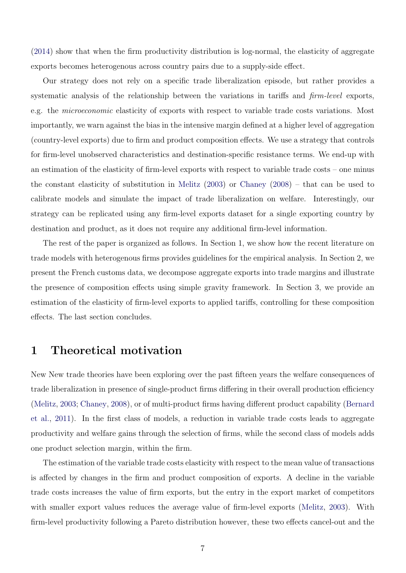[\(2014\)](#page-23-8) show that when the firm productivity distribution is log-normal, the elasticity of aggregate exports becomes heterogenous across country pairs due to a supply-side effect.

Our strategy does not rely on a specific trade liberalization episode, but rather provides a systematic analysis of the relationship between the variations in tariffs and *firm-level* exports, e.g. the microeconomic elasticity of exports with respect to variable trade costs variations. Most importantly, we warn against the bias in the intensive margin defined at a higher level of aggregation (country-level exports) due to firm and product composition effects. We use a strategy that controls for firm-level unobserved characteristics and destination-specific resistance terms. We end-up with an estimation of the elasticity of firm-level exports with respect to variable trade costs – one minus the constant elasticity of substitution in [Melitz](#page-24-1) [\(2003\)](#page-24-1) or [Chaney](#page-23-0) [\(2008\)](#page-23-0) – that can be used to calibrate models and simulate the impact of trade liberalization on welfare. Interestingly, our strategy can be replicated using any firm-level exports dataset for a single exporting country by destination and product, as it does not require any additional firm-level information.

The rest of the paper is organized as follows. In Section 1, we show how the recent literature on trade models with heterogenous firms provides guidelines for the empirical analysis. In Section 2, we present the French customs data, we decompose aggregate exports into trade margins and illustrate the presence of composition effects using simple gravity framework. In Section 3, we provide an estimation of the elasticity of firm-level exports to applied tariffs, controlling for these composition effects. The last section concludes.

## 1 Theoretical motivation

New New trade theories have been exploring over the past fifteen years the welfare consequences of trade liberalization in presence of single-product firms differing in their overall production efficiency [\(Melitz,](#page-24-1) [2003;](#page-24-1) [Chaney,](#page-23-0) [2008\)](#page-23-0), or of multi-product firms having different product capability [\(Bernard](#page-23-1) [et al.,](#page-23-1) [2011\)](#page-23-1). In the first class of models, a reduction in variable trade costs leads to aggregate productivity and welfare gains through the selection of firms, while the second class of models adds one product selection margin, within the firm.

The estimation of the variable trade costs elasticity with respect to the mean value of transactions is affected by changes in the firm and product composition of exports. A decline in the variable trade costs increases the value of firm exports, but the entry in the export market of competitors with smaller export values reduces the average value of firm-level exports [\(Melitz,](#page-24-1) [2003\)](#page-24-1). With firm-level productivity following a Pareto distribution however, these two effects cancel-out and the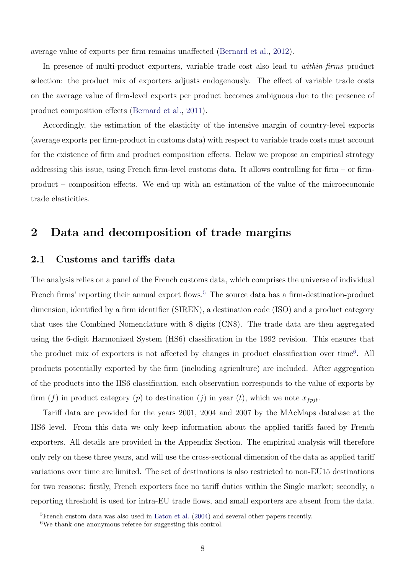average value of exports per firm remains unaffected [\(Bernard et al.,](#page-23-11) [2012\)](#page-23-11).

In presence of multi-product exporters, variable trade cost also lead to within-firms product selection: the product mix of exporters adjusts endogenously. The effect of variable trade costs on the average value of firm-level exports per product becomes ambiguous due to the presence of product composition effects [\(Bernard et al.,](#page-23-1) [2011\)](#page-23-1).

Accordingly, the estimation of the elasticity of the intensive margin of country-level exports (average exports per firm-product in customs data) with respect to variable trade costs must account for the existence of firm and product composition effects. Below we propose an empirical strategy addressing this issue, using French firm-level customs data. It allows controlling for firm – or firmproduct – composition effects. We end-up with an estimation of the value of the microeconomic trade elasticities.

## 2 Data and decomposition of trade margins

#### 2.1 Customs and tariffs data

The analysis relies on a panel of the French customs data, which comprises the universe of individual French firms' reporting their annual export flows.<sup>[5](#page-9-0)</sup> The source data has a firm-destination-product dimension, identified by a firm identifier (SIREN), a destination code (ISO) and a product category that uses the Combined Nomenclature with 8 digits (CN8). The trade data are then aggregated using the 6-digit Harmonized System (HS6) classification in the 1992 revision. This ensures that the product mix of exporters is not affected by changes in product classification over time<sup>[6](#page-9-1)</sup>. All products potentially exported by the firm (including agriculture) are included. After aggregation of the products into the HS6 classification, each observation corresponds to the value of exports by firm (f) in product category (p) to destination (j) in year (t), which we note  $x_{fpi}$ .

Tariff data are provided for the years 2001, 2004 and 2007 by the MAcMaps database at the HS6 level. From this data we only keep information about the applied tariffs faced by French exporters. All details are provided in the Appendix Section. The empirical analysis will therefore only rely on these three years, and will use the cross-sectional dimension of the data as applied tariff variations over time are limited. The set of destinations is also restricted to non-EU15 destinations for two reasons: firstly, French exporters face no tariff duties within the Single market; secondly, a reporting threshold is used for intra-EU trade flows, and small exporters are absent from the data.

<span id="page-9-0"></span><sup>&</sup>lt;sup>5</sup>French custom data was also used in [Eaton et al.](#page-24-8) [\(2004\)](#page-24-8) and several other papers recently.

<span id="page-9-1"></span><sup>6</sup>We thank one anonymous referee for suggesting this control.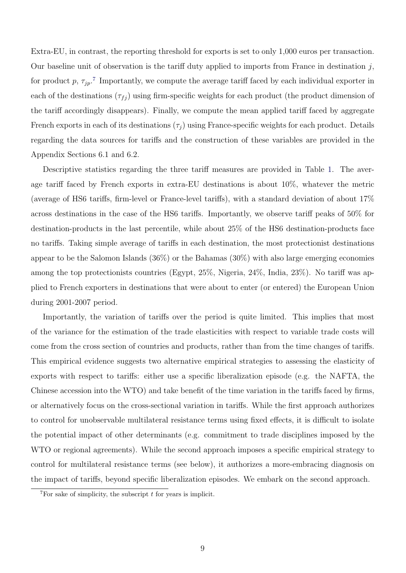Extra-EU, in contrast, the reporting threshold for exports is set to only 1,000 euros per transaction. Our baseline unit of observation is the tariff duty applied to imports from France in destination  $j$ , for product p,  $\tau_{jp}$ .<sup>[7](#page-10-0)</sup> Importantly, we compute the average tariff faced by each individual exporter in each of the destinations  $(\tau_{fj})$  using firm-specific weights for each product (the product dimension of the tariff accordingly disappears). Finally, we compute the mean applied tariff faced by aggregate French exports in each of its destinations  $(\tau_i)$  using France-specific weights for each product. Details regarding the data sources for tariffs and the construction of these variables are provided in the Appendix Sections 6.1 and 6.2.

Descriptive statistics regarding the three tariff measures are provided in Table [1.](#page-11-0) The average tariff faced by French exports in extra-EU destinations is about 10%, whatever the metric (average of HS6 tariffs, firm-level or France-level tariffs), with a standard deviation of about 17% across destinations in the case of the HS6 tariffs. Importantly, we observe tariff peaks of 50% for destination-products in the last percentile, while about 25% of the HS6 destination-products face no tariffs. Taking simple average of tariffs in each destination, the most protectionist destinations appear to be the Salomon Islands (36%) or the Bahamas (30%) with also large emerging economies among the top protectionists countries (Egypt, 25%, Nigeria, 24%, India, 23%). No tariff was applied to French exporters in destinations that were about to enter (or entered) the European Union during 2001-2007 period.

Importantly, the variation of tariffs over the period is quite limited. This implies that most of the variance for the estimation of the trade elasticities with respect to variable trade costs will come from the cross section of countries and products, rather than from the time changes of tariffs. This empirical evidence suggests two alternative empirical strategies to assessing the elasticity of exports with respect to tariffs: either use a specific liberalization episode (e.g. the NAFTA, the Chinese accession into the WTO) and take benefit of the time variation in the tariffs faced by firms, or alternatively focus on the cross-sectional variation in tariffs. While the first approach authorizes to control for unobservable multilateral resistance terms using fixed effects, it is difficult to isolate the potential impact of other determinants (e.g. commitment to trade disciplines imposed by the WTO or regional agreements). While the second approach imposes a specific empirical strategy to control for multilateral resistance terms (see below), it authorizes a more-embracing diagnosis on the impact of tariffs, beyond specific liberalization episodes. We embark on the second approach.

<span id="page-10-0"></span> ${}^{7}$ For sake of simplicity, the subscript t for years is implicit.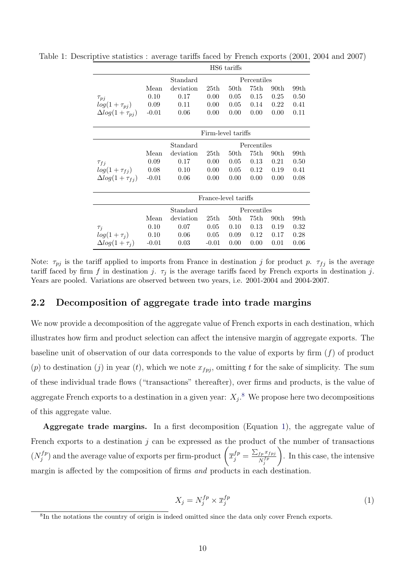<span id="page-11-0"></span>

|                             | HS6 tariffs        |           |                      |      |             |                  |      |
|-----------------------------|--------------------|-----------|----------------------|------|-------------|------------------|------|
|                             |                    | Standard  |                      |      | Percentiles |                  |      |
|                             | Mean               | deviation | 25th                 | 50th | 75th        | 90 <sub>th</sub> | 99th |
| $\tau_{pj}$                 | 0.10               | 0.17      | 0.00                 | 0.05 | 0.15        | 0.25             | 0.50 |
| $log(1+\tau_{pj})$          | 0.09               | 0.11      | 0.00                 | 0.05 | 0.14        | 0.22             | 0.41 |
| $\Delta log(1 + \tau_{pj})$ | $-0.01$            | 0.06      | 0.00                 | 0.00 | 0.00        | 0.00             | 0.11 |
|                             |                    |           |                      |      |             |                  |      |
|                             | Firm-level tariffs |           |                      |      |             |                  |      |
|                             |                    | Standard  |                      |      | Percentiles |                  |      |
|                             | Mean               | deviation | 25th                 | 50th | 75th        | 90 <sub>th</sub> | 99th |
| $\tau_{f,i}$                | 0.09               | 0.17      | 0.00                 | 0.05 | 0.13        | 0.21             | 0.50 |
| $log(1+\tau_{fi})$          | 0.08               | 0.10      | 0.00                 | 0.05 | 0.12        | 0.19             | 0.41 |
| $\Delta log(1 + \tau_{fi})$ | $-0.01$<br>0.06    |           | 0.00                 | 0.00 | 0.00        | 0.00             | 0.08 |
|                             |                    |           |                      |      |             |                  |      |
|                             |                    |           | France-level tariffs |      |             |                  |      |
|                             |                    | Standard  |                      |      | Percentiles |                  |      |
|                             | Mean               | deviation | 25th                 | 50th | 75th        | 90 <sub>th</sub> | 99th |
| $\tau_j$                    | 0.10               | 0.07      | 0.05                 | 0.10 | 0.13        | 0.19             | 0.32 |
| $log(1+\tau_i)$             | 0.10               | 0.06      | 0.05                 | 0.09 | 0.12        | 0.17             | 0.28 |
| $\Delta log(1+\tau_i)$      | $-0.01$            | 0.03      | $-0.01$              | 0.00 | 0.00        | 0.01             | 0.06 |

Table 1: Descriptive statistics : average tariffs faced by French exports (2001, 2004 and 2007)

Note:  $\tau_{pj}$  is the tariff applied to imports from France in destination j for product p.  $\tau_{fj}$  is the average tariff faced by firm f in destination j.  $\tau_i$  is the average tariffs faced by French exports in destination j. Years are pooled. Variations are observed between two years, i.e. 2001-2004 and 2004-2007.

#### 2.2 Decomposition of aggregate trade into trade margins

We now provide a decomposition of the aggregate value of French exports in each destination, which illustrates how firm and product selection can affect the intensive margin of aggregate exports. The baseline unit of observation of our data corresponds to the value of exports by firm  $(f)$  of product (p) to destination (j) in year (t), which we note  $x_{fpj}$ , omitting t for the sake of simplicity. The sum of these individual trade flows ("transactions" thereafter), over firms and products, is the value of aggregate French exports to a destination in a given year:  $X_j$ .<sup>[8](#page-11-1)</sup> We propose here two decompositions of this aggregate value.

Aggregate trade margins. In a first decomposition (Equation [1\)](#page-11-2), the aggregate value of French exports to a destination  $j$  can be expressed as the product of the number of transactions  $(N_i^{fp})$  $\tilde{f}_j^{fp}$  and the average value of exports per firm-product  $\left(\overline{x}_j^{fp} = \frac{\sum_{fp} x_{fpj}}{N^{fp}}\right)$  $N_j^{fp}$  $\setminus$ . In this case, the intensive margin is affected by the composition of firms *and* products in each destination.

<span id="page-11-2"></span>
$$
X_j = N_j^{fp} \times \overline{x}_j^{fp} \tag{1}
$$

<span id="page-11-1"></span><sup>&</sup>lt;sup>8</sup>In the notations the country of origin is indeed omitted since the data only cover French exports.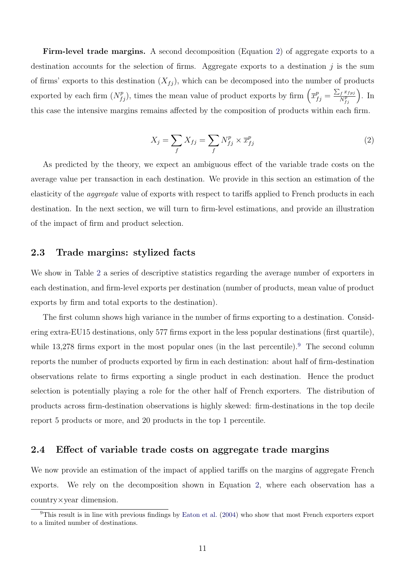Firm-level trade margins. A second decomposition (Equation [2\)](#page-12-0) of aggregate exports to a destination accounts for the selection of firms. Aggregate exports to a destination  $j$  is the sum of firms' exports to this destination  $(X_{fj})$ , which can be decomposed into the number of products exported by each firm  $(N_{fj}^p)$ , times the mean value of product exports by firm  $(\bar{x}_{fj}^p = \frac{\sum_f x_{fpj}}{N_{fs}^p})$  $\frac{\sum_{f} x_{fpj}}{N_{fj}^p}$ ). In this case the intensive margins remains affected by the composition of products within each firm.

<span id="page-12-0"></span>
$$
X_j = \sum_f X_{fj} = \sum_f N_{fj}^p \times \overline{x}_{fj}^p \tag{2}
$$

As predicted by the theory, we expect an ambiguous effect of the variable trade costs on the average value per transaction in each destination. We provide in this section an estimation of the elasticity of the *aggregate* value of exports with respect to tariffs applied to French products in each destination. In the next section, we will turn to firm-level estimations, and provide an illustration of the impact of firm and product selection.

#### 2.3 Trade margins: stylized facts

We show in Table [2](#page-13-0) a series of descriptive statistics regarding the average number of exporters in each destination, and firm-level exports per destination (number of products, mean value of product exports by firm and total exports to the destination).

The first column shows high variance in the number of firms exporting to a destination. Considering extra-EU15 destinations, only 577 firms export in the less popular destinations (first quartile), while 13,278 firms export in the most popular ones (in the last percentile).<sup>[9](#page-12-1)</sup> The second column reports the number of products exported by firm in each destination: about half of firm-destination observations relate to firms exporting a single product in each destination. Hence the product selection is potentially playing a role for the other half of French exporters. The distribution of products across firm-destination observations is highly skewed: firm-destinations in the top decile report 5 products or more, and 20 products in the top 1 percentile.

#### 2.4 Effect of variable trade costs on aggregate trade margins

We now provide an estimation of the impact of applied tariffs on the margins of aggregate French exports. We rely on the decomposition shown in Equation [2,](#page-12-0) where each observation has a country×year dimension.

<span id="page-12-1"></span> $9$ This result is in line with previous findings by [Eaton et al.](#page-24-8) [\(2004\)](#page-24-8) who show that most French exporters export to a limited number of destinations.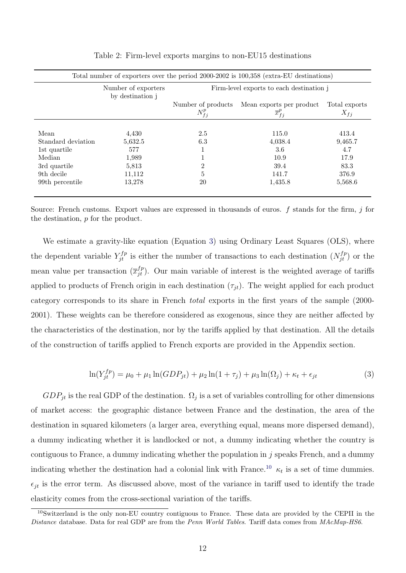|                    | Number of exporters<br>by destination j |                                  | Firm-level exports to each destination j            |                           |  |  |  |  |
|--------------------|-----------------------------------------|----------------------------------|-----------------------------------------------------|---------------------------|--|--|--|--|
|                    |                                         | Number of products<br>$N_{fj}^p$ | Mean exports per product<br>$\overline{x}_{fj}^{p}$ | Total exports<br>$X_{fj}$ |  |  |  |  |
|                    |                                         |                                  |                                                     |                           |  |  |  |  |
| Mean               | 4,430                                   | 2.5                              | 115.0                                               | 413.4                     |  |  |  |  |
| Standard deviation | 5,632.5                                 | 6.3                              | 4,038.4                                             | 9,465.7                   |  |  |  |  |
| 1st quartile       | 577                                     |                                  | 3.6                                                 | 4.7                       |  |  |  |  |
| Median             | 1,989                                   |                                  | 10.9                                                | 17.9                      |  |  |  |  |
| 3rd quartile       | 5,813                                   | $\overline{2}$                   | 39.4                                                | 83.3                      |  |  |  |  |
| 9th decile         | 11,112                                  | 5                                | 141.7                                               | 376.9                     |  |  |  |  |
| 99th percentile    | 13,278                                  | 20                               | 1,435.8                                             | 5,568.6                   |  |  |  |  |

<span id="page-13-0"></span>Table 2: Firm-level exports margins to non-EU15 destinations

Source: French customs. Export values are expressed in thousands of euros.  $f$  stands for the firm,  $j$  for the destination, p for the product.

We estimate a gravity-like equation (Equation [3\)](#page-13-1) using Ordinary Least Squares (OLS), where the dependent variable  $Y_{jt}^{fp}$  is either the number of transactions to each destination  $(N_{jt}^{fp})$  or the mean value per transaction  $(\bar{x}_{jt}^{fp})$ . Our main variable of interest is the weighted average of tariffs applied to products of French origin in each destination  $(\tau_{jt})$ . The weight applied for each product category corresponds to its share in French total exports in the first years of the sample (2000- 2001). These weights can be therefore considered as exogenous, since they are neither affected by the characteristics of the destination, nor by the tariffs applied by that destination. All the details of the construction of tariffs applied to French exports are provided in the Appendix section.

<span id="page-13-1"></span>
$$
\ln(Y_{jt}^{fp}) = \mu_0 + \mu_1 \ln(GDP_{jt}) + \mu_2 \ln(1 + \tau_j) + \mu_3 \ln(\Omega_j) + \kappa_t + \epsilon_{jt}
$$
\n(3)

 $GDP_{jt}$  is the real GDP of the destination.  $\Omega_j$  is a set of variables controlling for other dimensions of market access: the geographic distance between France and the destination, the area of the destination in squared kilometers (a larger area, everything equal, means more dispersed demand), a dummy indicating whether it is landlocked or not, a dummy indicating whether the country is contiguous to France, a dummy indicating whether the population in  $j$  speaks French, and a dummy indicating whether the destination had a colonial link with France.<sup>[10](#page-13-2)</sup>  $\kappa_t$  is a set of time dummies.  $\epsilon_{jt}$  is the error term. As discussed above, most of the variance in tariff used to identify the trade elasticity comes from the cross-sectional variation of the tariffs.

<span id="page-13-2"></span><sup>10</sup>Switzerland is the only non-EU country contiguous to France. These data are provided by the CEPII in the Distance database. Data for real GDP are from the Penn World Tables. Tariff data comes from MAcMap-HS6.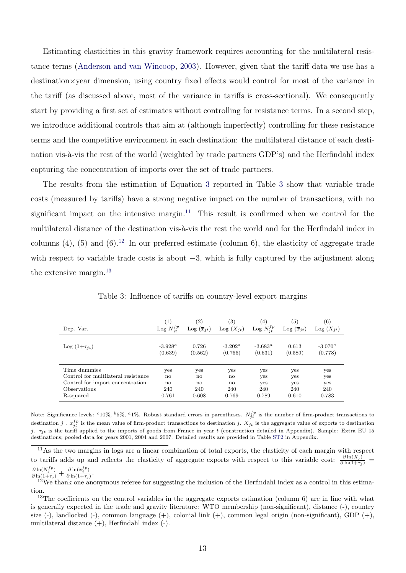Estimating elasticities in this gravity framework requires accounting for the multilateral resistance terms [\(Anderson and van Wincoop,](#page-23-12) [2003\)](#page-23-12). However, given that the tariff data we use has a destination×year dimension, using country fixed effects would control for most of the variance in the tariff (as discussed above, most of the variance in tariffs is cross-sectional). We consequently start by providing a first set of estimates without controlling for resistance terms. In a second step, we introduce additional controls that aim at (although imperfectly) controlling for these resistance terms and the competitive environment in each destination: the multilateral distance of each destination vis-à-vis the rest of the world (weighted by trade partners GDP's) and the Herfindahl index capturing the concentration of imports over the set of trade partners.

The results from the estimation of Equation [3](#page-13-1) reported in Table [3](#page-14-0) show that variable trade costs (measured by tariffs) have a strong negative impact on the number of transactions, with no significant impact on the intensive margin.<sup>[11](#page-14-1)</sup> This result is confirmed when we control for the multilateral distance of the destination vis-à-vis the rest the world and for the Herfindahl index in columns (4), (5) and (6).<sup>[12](#page-14-2)</sup> In our preferred estimate (column 6), the elasticity of aggregate trade with respect to variable trade costs is about  $-3$ , which is fully captured by the adjustment along the extensive margin.<sup>[13](#page-14-3)</sup>

|                                     | $\left( 1\right)$ | $\left( 2\right)$         | (3)                  | (4)               | (5)                       | (6)                  |
|-------------------------------------|-------------------|---------------------------|----------------------|-------------------|---------------------------|----------------------|
| Dep. Var.                           | Log $N_{jt}^{fp}$ | Log $(\overline{x}_{jt})$ | $\text{Log}(X_{it})$ | Log $N_{it}^{fp}$ | Log $(\overline{x}_{jt})$ | $\text{Log}(X_{jt})$ |
|                                     |                   |                           |                      |                   |                           |                      |
| $\text{Log}(1+\tau_{it})$           | $-3.928^a$        | 0.726                     | $-3.202^a$           | $-3.683^a$        | 0.613                     | $-3.070^a$           |
|                                     | (0.639)           | (0.562)                   | (0.766)              | (0.631)           | (0.589)                   | (0.778)              |
|                                     |                   |                           |                      |                   |                           |                      |
| Time dummies                        | yes               | yes                       | yes                  | yes               | yes                       | yes                  |
| Control for multilateral resistance | $\mathbf{n}$      | no                        | $\mathbf{n}$         | yes               | yes                       | yes                  |
| Control for import concentration    | no                | $\mathbf{n}$              | $\mathbf{n}$         | yes               | yes                       | yes                  |
| Observations                        | 240               | 240                       | 240                  | 240               | 240                       | 240                  |
| R-squared                           | 0.761             | 0.608                     | 0.769                | 0.789             | 0.610                     | 0.783                |

<span id="page-14-0"></span>Table 3: Influence of tariffs on country-level export margins

Note: Significance levels: <sup>c</sup>10%, <sup>b</sup>5%, <sup>a</sup>1%. Robust standard errors in parentheses.  $N_{jt}^{fp}$  is the number of firm-product transactions to destination j.  $\bar{x}_{jt}^{fp}$  is the mean value of firm-product transactions to destination j.  $X_{jt}$  is the aggregate value of exports to destination j.  $\tau_{jt}$  is the tariff applied to the imports of goods from France in year t (construction detailed in Appendix). Sample: Extra EU 15 destinations; pooled data for years 2001, 2004 and 2007. Detailed results are provided in Table [ST](#page-27-0)2 in Appendix.

<span id="page-14-1"></span><sup>11</sup>As the two margins in logs are a linear combination of total exports, the elasticity of each margin with respect to tariffs adds up and reflects the elasticity of aggregate exports with respect to this variable cost:  $\frac{\partial \ln(X_j)}{\partial \ln(1+\tau_j)}$ 

$$
\frac{\partial \ln(N_j^{fp})}{\partial \ln(1+\tau_j)} + \frac{\partial \ln(\overline{x}_j^{fp})}{\partial \ln(1+\tau_j)}.
$$

<span id="page-14-2"></span>

 $12$ We thank one anonymous referee for suggesting the inclusion of the Herfindahl index as a control in this estimation.

<span id="page-14-3"></span> $13$ The coefficients on the control variables in the aggregate exports estimation (column 6) are in line with what is generally expected in the trade and gravity literature: WTO membership (non-significant), distance (-), country size (-), landlocked (-), common language  $(+)$ , colonial link  $(+)$ , common legal origin (non-significant), GDP  $(+)$ , multilateral distance  $(+)$ , Herfindahl index  $(-)$ .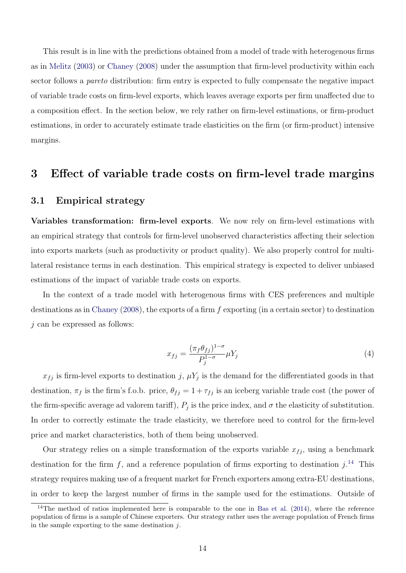This result is in line with the predictions obtained from a model of trade with heterogenous firms as in [Melitz](#page-24-1) [\(2003\)](#page-24-1) or [Chaney](#page-23-0) [\(2008\)](#page-23-0) under the assumption that firm-level productivity within each sector follows a *pareto* distribution: firm entry is expected to fully compensate the negative impact of variable trade costs on firm-level exports, which leaves average exports per firm unaffected due to a composition effect. In the section below, we rely rather on firm-level estimations, or firm-product estimations, in order to accurately estimate trade elasticities on the firm (or firm-product) intensive margins.

### 3 Effect of variable trade costs on firm-level trade margins

#### 3.1 Empirical strategy

Variables transformation: firm-level exports. We now rely on firm-level estimations with an empirical strategy that controls for firm-level unobserved characteristics affecting their selection into exports markets (such as productivity or product quality). We also properly control for multilateral resistance terms in each destination. This empirical strategy is expected to deliver unbiased estimations of the impact of variable trade costs on exports.

In the context of a trade model with heterogenous firms with CES preferences and multiple destinations as in [Chaney](#page-23-0) [\(2008\)](#page-23-0), the exports of a firm  $f$  exporting (in a certain sector) to destination  $j$  can be expressed as follows:

$$
x_{fj} = \frac{(\pi_f \theta_{fj})^{1-\sigma}}{P_j^{1-\sigma}} \mu Y_j \tag{4}
$$

 $x_{fj}$  is firm-level exports to destination j,  $\mu Y_j$  is the demand for the differentiated goods in that destination,  $\pi_f$  is the firm's f.o.b. price,  $\theta_{fj} = 1 + \tau_{fj}$  is an iceberg variable trade cost (the power of the firm-specific average ad valorem tariff),  $P_j$  is the price index, and  $\sigma$  the elasticity of substitution. In order to correctly estimate the trade elasticity, we therefore need to control for the firm-level price and market characteristics, both of them being unobserved.

Our strategy relies on a simple transformation of the exports variable  $x_{fi}$ , using a benchmark destination for the firm f, and a reference population of firms exporting to destination  $j^{14}$  $j^{14}$  $j^{14}$ . This strategy requires making use of a frequent market for French exporters among extra-EU destinations, in order to keep the largest number of firms in the sample used for the estimations. Outside of

<span id="page-15-0"></span><sup>&</sup>lt;sup>14</sup>The method of ratios implemented here is comparable to the one in [Bas et al.](#page-23-8)  $(2014)$ , where the reference population of firms is a sample of Chinese exporters. Our strategy rather uses the average population of French firms in the sample exporting to the same destination  $j$ .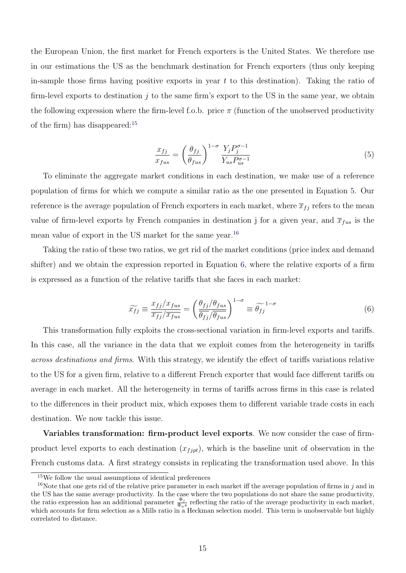the European Union, the first market for French exporters is the United States. We therefore use in our estimations the US as the benchmark destination for French exporters (thus only keeping in-sample those firms having positive exports in year  $t$  to this destination). Taking the ratio of firm-level exports to destination  $j$  to the same firm's export to the US in the same year, we obtain the following expression where the firm-level f.o.b. price  $\pi$  (function of the unobserved productivity of the firm) has disappeared:[15](#page-16-0)

<span id="page-16-1"></span>
$$
\frac{x_{fj}}{x_{fus}} = \left(\frac{\theta_{fj}}{\theta_{fus}}\right)^{1-\sigma} \frac{Y_j P_j^{\sigma-1}}{Y_{us} P_{us}^{\sigma-1}}
$$
\n(5)

To eliminate the aggregate market conditions in each destination, we make use of a reference population of firms for which we compute a similar ratio as the one presented in Equation [5.](#page-16-1) Our reference is the average population of French exporters in each market, where  $\bar{x}_{fi}$  refers to the mean value of firm-level exports by French companies in destination j for a given year, and  $\bar{x}_{fus}$  is the mean value of export in the US market for the same year.<sup>[16](#page-16-2)</sup>

Taking the ratio of these two ratios, we get rid of the market conditions (price index and demand shifter) and we obtain the expression reported in Equation [6,](#page-16-3) where the relative exports of a firm is expressed as a function of the relative tariffs that she faces in each market:

<span id="page-16-3"></span>
$$
\widetilde{x_{fj}} \equiv \frac{x_{fj}/x_{fus}}{x_{fj}/x_{fus}} = \left(\frac{\theta_{fj}/\theta_{fus}}{\overline{\theta_{fj}}/\overline{\theta_{fus}}}\right)^{1-\sigma} \equiv \widetilde{\theta_{fj}}^{1-\sigma}
$$
\n(6)

This transformation fully exploits the cross-sectional variation in firm-level exports and tariffs. In this case, all the variance in the data that we exploit comes from the heterogeneity in tariffs across destinations and firms. With this strategy, we identify the effect of tariffs variations relative to the US for a given firm, relative to a different French exporter that would face different tariffs on average in each market. All the heterogeneity in terms of tariffs across firms in this case is related to the differences in their product mix, which exposes them to different variable trade costs in each destination. We now tackle this issue.

Variables transformation: firm-product level exports. We now consider the case of firmproduct level exports to each destination  $(x_{f jpt})$ , which is the baseline unit of observation in the French customs data. A first strategy consists in replicating the transformation used above. In this

<span id="page-16-2"></span><span id="page-16-0"></span><sup>15</sup>We follow the usual assumptions of identical preferences

<sup>&</sup>lt;sup>16</sup>Note that one gets rid of the relative price parameter in each market iff the average population of firms in j and in the US has the same average productivity. In the case where the two populations do not share the same productivity, the ratio expression has an additional parameter  $\frac{\Phi_j}{\Phi_u s}$  reflecting the ratio of the average productivity in each market, which accounts for firm selection as a Mills ratio in a Heckman selection model. This term is unobservable but highly correlated to distance.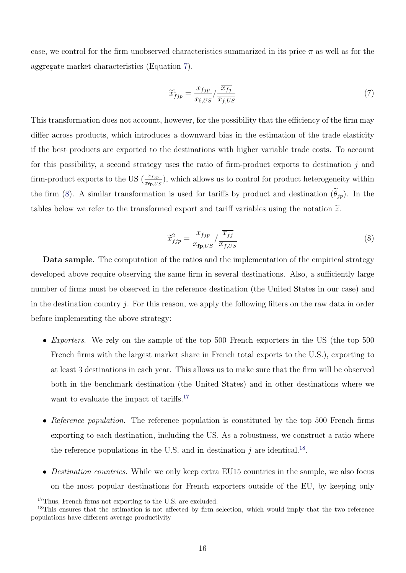case, we control for the firm unobserved characteristics summarized in its price  $\pi$  as well as for the aggregate market characteristics (Equation [7\)](#page-17-0).

<span id="page-17-0"></span>
$$
\widetilde{x}_{fjp}^1 = \frac{x_{fjp}}{x_{\mathbf{f},US}} / \frac{\overline{x_{fj}}}{\overline{x_{f,US}}} \tag{7}
$$

This transformation does not account, however, for the possibility that the efficiency of the firm may differ across products, which introduces a downward bias in the estimation of the trade elasticity if the best products are exported to the destinations with higher variable trade costs. To account for this possibility, a second strategy uses the ratio of firm-product exports to destination  $j$  and firm-product exports to the US  $(\frac{x_{fip}}{x_{fp,US}})$ , which allows us to control for product heterogeneity within the firm [\(8\)](#page-17-1). A similar transformation is used for tariffs by product and destination  $(\tilde{\theta}_{jp})$ . In the tables below we refer to the transformed export and tariff variables using the notation  $\tilde{z}$ .

<span id="page-17-1"></span>
$$
\widetilde{x}_{fjp}^2 = \frac{x_{fjp}}{x_{\mathbf{fp},US}} / \frac{\overline{x_{fj}}}{\overline{x_{f,US}}} \tag{8}
$$

Data sample. The computation of the ratios and the implementation of the empirical strategy developed above require observing the same firm in several destinations. Also, a sufficiently large number of firms must be observed in the reference destination (the United States in our case) and in the destination country  $i$ . For this reason, we apply the following filters on the raw data in order before implementing the above strategy:

- Exporters. We rely on the sample of the top 500 French exporters in the US (the top 500 French firms with the largest market share in French total exports to the U.S.), exporting to at least 3 destinations in each year. This allows us to make sure that the firm will be observed both in the benchmark destination (the United States) and in other destinations where we want to evaluate the impact of tariffs.<sup>[17](#page-17-2)</sup>
- Reference population. The reference population is constituted by the top 500 French firms exporting to each destination, including the US. As a robustness, we construct a ratio where the reference populations in the U.S. and in destination  $j$  are identical.<sup>[18](#page-17-3)</sup>.
- Destination countries. While we only keep extra EU15 countries in the sample, we also focus on the most popular destinations for French exporters outside of the EU, by keeping only

<span id="page-17-3"></span><span id="page-17-2"></span><sup>&</sup>lt;sup>17</sup>Thus, French firms not exporting to the U.S. are excluded.

<sup>&</sup>lt;sup>18</sup>This ensures that the estimation is not affected by firm selection, which would imply that the two reference populations have different average productivity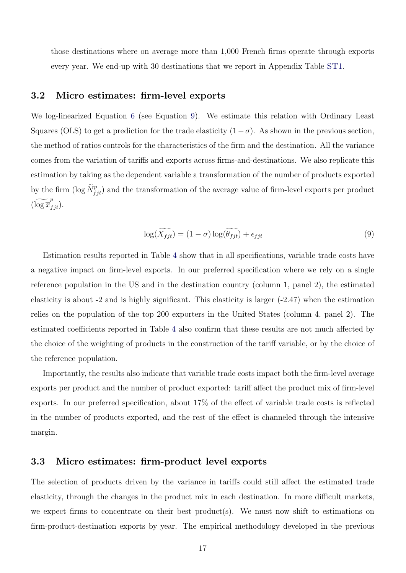those destinations where on average more than 1,000 French firms operate through exports every year. We end-up with 30 destinations that we report in Appendix Table [ST](#page-26-0)1.

#### 3.2 Micro estimates: firm-level exports

We log-linearized Equation [6](#page-16-3) (see Equation [9\)](#page-18-0). We estimate this relation with Ordinary Least Squares (OLS) to get a prediction for the trade elasticity  $(1 - \sigma)$ . As shown in the previous section, the method of ratios controls for the characteristics of the firm and the destination. All the variance comes from the variation of tariffs and exports across firms-and-destinations. We also replicate this estimation by taking as the dependent variable a transformation of the number of products exported by the firm  $(\log \tilde{N}_{fjt}^p)$  and the transformation of the average value of firm-level exports per product  $\widetilde{(\log x}_{fjt}^p)$ .

<span id="page-18-0"></span>
$$
\log(\widetilde{X_{fjt}}) = (1 - \sigma) \log(\widetilde{\theta_{fjt}}) + \epsilon_{fjt} \tag{9}
$$

Estimation results reported in Table [4](#page-19-0) show that in all specifications, variable trade costs have a negative impact on firm-level exports. In our preferred specification where we rely on a single reference population in the US and in the destination country (column 1, panel 2), the estimated elasticity is about -2 and is highly significant. This elasticity is larger (-2.47) when the estimation relies on the population of the top 200 exporters in the United States (column 4, panel 2). The estimated coefficients reported in Table [4](#page-19-0) also confirm that these results are not much affected by the choice of the weighting of products in the construction of the tariff variable, or by the choice of the reference population.

Importantly, the results also indicate that variable trade costs impact both the firm-level average exports per product and the number of product exported: tariff affect the product mix of firm-level exports. In our preferred specification, about 17% of the effect of variable trade costs is reflected in the number of products exported, and the rest of the effect is channeled through the intensive margin.

#### 3.3 Micro estimates: firm-product level exports

The selection of products driven by the variance in tariffs could still affect the estimated trade elasticity, through the changes in the product mix in each destination. In more difficult markets, we expect firms to concentrate on their best product(s). We must now shift to estimations on firm-product-destination exports by year. The empirical methodology developed in the previous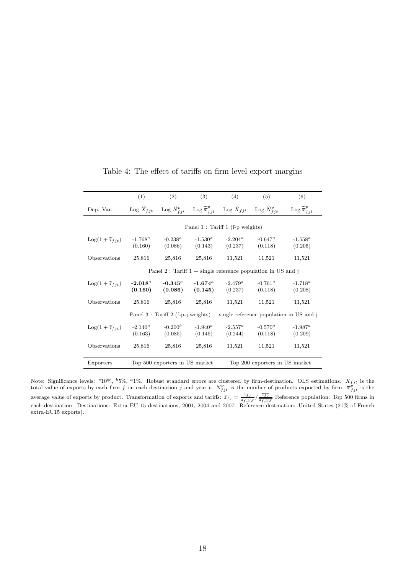|                                                               | (1)                                                                          | (2)                            | (3)                      | (4)                                                                                                                      | (5)                            | (6)                           |  |  |  |  |
|---------------------------------------------------------------|------------------------------------------------------------------------------|--------------------------------|--------------------------|--------------------------------------------------------------------------------------------------------------------------|--------------------------------|-------------------------------|--|--|--|--|
| Dep. Var.                                                     | Log $\widetilde{X}_{fit}$                                                    |                                |                          | Log $\widetilde{N}_{fit}^p$ Log $\widetilde{\overline{x}}_{fit}^p$ Log $\widetilde{X}_{fit}$ Log $\widetilde{N}_{fit}^p$ |                                | Log $\tilde{\vec{x}}_{fit}^p$ |  |  |  |  |
|                                                               | Panel 1 : Tariff 1 (f-p weights)                                             |                                |                          |                                                                                                                          |                                |                               |  |  |  |  |
| $\text{Log}(1+\widetilde{\tau}_{fit})$                        | $-1.768^a$<br>(0.160)                                                        | $-0.238^a$<br>(0.086)          | -1.530 $^a$<br>(0.143)   | $-2.204^a$<br>(0.237)                                                                                                    | -0.647 $^a$<br>(0.118)         | $-1.558^a$<br>(0.205)         |  |  |  |  |
| Observations                                                  | 25,816                                                                       | 25,816                         | 25,816                   | 11,521                                                                                                                   | 11,521                         | 11,521                        |  |  |  |  |
| Panel 2: Tariff $1 +$ single reference population in US and j |                                                                              |                                |                          |                                                                                                                          |                                |                               |  |  |  |  |
| $\text{Log}(1+\widetilde{\tau}_{fjt})$                        | -2.018 $^a\,$<br>(0.160)                                                     | -0.345 $^a$<br>(0.086)         | -1.674 $^a\,$<br>(0.145) | -2.479 $^a$<br>(0.237)                                                                                                   | $-0.761^{\alpha}$<br>(0.118)   | $-1.718^a$<br>(0.208)         |  |  |  |  |
| Observations                                                  | 25,816                                                                       | 25,816                         | 25,816                   | 11,521                                                                                                                   | 11,521                         | 11,521                        |  |  |  |  |
|                                                               | Panel 3 : Tariff 2 (f-p-j weights) + single reference population in US and j |                                |                          |                                                                                                                          |                                |                               |  |  |  |  |
| $\text{Log}(1+\tilde{\tau}_{fit})$                            | $-2.140^a$<br>(0.163)                                                        | $-0.200^b$<br>(0.085)          | $-1.940^a$<br>(0.145)    | $-2.557^a$<br>(0.244)                                                                                                    | -0.570 $^a$<br>(0.118)         | $-1.987^a$<br>(0.209)         |  |  |  |  |
| Observations                                                  | 25,816                                                                       | 25,816                         | 25,816                   | 11,521                                                                                                                   | 11,521                         | 11,521                        |  |  |  |  |
| Exporters                                                     |                                                                              | Top 500 exporters in US market |                          |                                                                                                                          | Top 200 exporters in US market |                               |  |  |  |  |

#### <span id="page-19-0"></span>Table 4: The effect of tariffs on firm-level export margins

Note: Significance levels: <sup>c</sup>10%, <sup>b</sup>5%, <sup>a</sup>1%. Robust standard errors are clustered by firm-destination. OLS estimations.  $X_{fit}$  is the total value of exports by each firm f on each destination j and year t.  $N_{fjt}^p$  is the number of products exported by firm.  $\bar{x}_{fjt}^{p'}$  is the average value of exports by product. Transformation of exports and tariffs:  $\tilde{z}_{fj} = \frac{z_{fj}}{z_{f,U}}$  $\frac{z_{fj}}{z_{f,US}} / \frac{\overline{z_{fj}}}{\overline{z_{f,U}}}$  $\frac{2f_j}{z_{f,US}}$  Reference population: Top 500 firms in each destination. Destinations: Extra EU 15 destinations, 2001, 2004 and 2007. Reference destination: United States (21% of French extra-EU15 exports).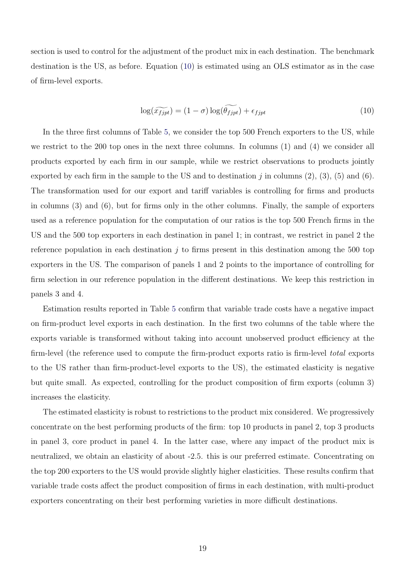section is used to control for the adjustment of the product mix in each destination. The benchmark destination is the US, as before. Equation [\(10\)](#page-20-0) is estimated using an OLS estimator as in the case of firm-level exports.

<span id="page-20-0"></span>
$$
\log(\widetilde{x_{fjpt}}) = (1 - \sigma) \log(\theta_{fjpt}) + \epsilon_{fjpt} \tag{10}
$$

In the three first columns of Table [5,](#page-21-0) we consider the top 500 French exporters to the US, while we restrict to the 200 top ones in the next three columns. In columns (1) and (4) we consider all products exported by each firm in our sample, while we restrict observations to products jointly exported by each firm in the sample to the US and to destination  $j$  in columns  $(2)$ ,  $(3)$ ,  $(5)$  and  $(6)$ . The transformation used for our export and tariff variables is controlling for firms and products in columns (3) and (6), but for firms only in the other columns. Finally, the sample of exporters used as a reference population for the computation of our ratios is the top 500 French firms in the US and the 500 top exporters in each destination in panel 1; in contrast, we restrict in panel 2 the reference population in each destination  $j$  to firms present in this destination among the 500 top exporters in the US. The comparison of panels 1 and 2 points to the importance of controlling for firm selection in our reference population in the different destinations. We keep this restriction in panels 3 and 4.

Estimation results reported in Table [5](#page-21-0) confirm that variable trade costs have a negative impact on firm-product level exports in each destination. In the first two columns of the table where the exports variable is transformed without taking into account unobserved product efficiency at the firm-level (the reference used to compute the firm-product exports ratio is firm-level *total* exports to the US rather than firm-product-level exports to the US), the estimated elasticity is negative but quite small. As expected, controlling for the product composition of firm exports (column 3) increases the elasticity.

The estimated elasticity is robust to restrictions to the product mix considered. We progressively concentrate on the best performing products of the firm: top 10 products in panel 2, top 3 products in panel 3, core product in panel 4. In the latter case, where any impact of the product mix is neutralized, we obtain an elasticity of about -2.5. this is our preferred estimate. Concentrating on the top 200 exporters to the US would provide slightly higher elasticities. These results confirm that variable trade costs affect the product composition of firms in each destination, with multi-product exporters concentrating on their best performing varieties in more difficult destinations.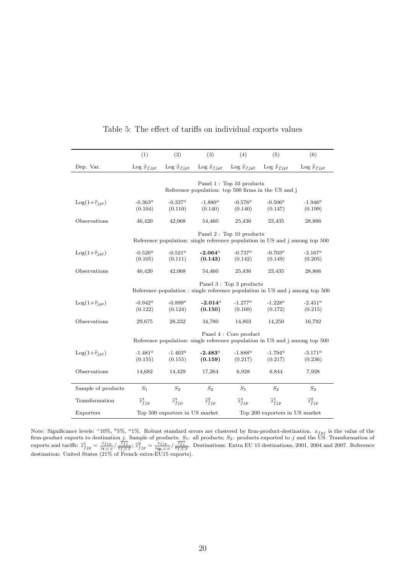|                             | (1)                                                                                                      | (2)                            | (3)                   | (4)                                                   | (5)                            | (6)                        |  |  |  |  |
|-----------------------------|----------------------------------------------------------------------------------------------------------|--------------------------------|-----------------------|-------------------------------------------------------|--------------------------------|----------------------------|--|--|--|--|
| Dep. Var.                   | Log $\widetilde{x}_{fjpt}$                                                                               | Log $\widetilde{x}_{fjpt}$     |                       | Log $\widetilde{x}_{fipt}$ Log $\widetilde{x}_{fipt}$ | Log $\widetilde{x}_{fjpt}$     | Log $\widetilde{x}_{fjpt}$ |  |  |  |  |
|                             | Panel 1: Top 10 products<br>Reference population: top 500 firms in the US and j                          |                                |                       |                                                       |                                |                            |  |  |  |  |
| $Log(1+\tilde{\tau}_{int})$ | $-0.363^{a}$<br>(0.104)                                                                                  | $-0.337^{a}$<br>(0.110)        | $-1.880^a$<br>(0.140) | $-0.576^a$<br>(0.140)                                 | $-0.506^a$<br>(0.147)          | $-1.946^a$<br>(0.199)      |  |  |  |  |
| Observations                | 46,420                                                                                                   | 42,068                         | 54,460                | 25,430                                                | 23,435                         | 28,866                     |  |  |  |  |
|                             | Panel 2: Top 10 products<br>Reference population: single reference population in US and j among top 500  |                                |                       |                                                       |                                |                            |  |  |  |  |
| $Log(1+\tilde{\tau}_{int})$ | $-0.520^{a}$<br>(0.105)                                                                                  | $-0.521^a$<br>(0.111)          | $-2.064^a$<br>(0.143) | $-0.737^{a}$<br>(0.142)                               | $-0.703^a$<br>(0.149)          | $-2.167^a$<br>(0.205)      |  |  |  |  |
| Observations                | 46,420                                                                                                   | 42,068                         | 54,460                | 25,430                                                | 23,435                         | 28,866                     |  |  |  |  |
|                             | Panel 3 : Top 3 products<br>Reference population : single reference population in US and j among top 500 |                                |                       |                                                       |                                |                            |  |  |  |  |
| $Log(1+\tilde{\tau}_{int})$ | $-0.942^a$<br>(0.122)                                                                                    | $-0.899^a$<br>(0.124)          | $-2.014^a$<br>(0.150) | $-1.277^a$<br>(0.169)                                 | $-1.228^a$<br>(0.172)          | $-2.451^a$<br>(0.215)      |  |  |  |  |
| Observations                | 29,675                                                                                                   | 28,332                         | 34,780                | 14,803                                                | 14,250                         | 16,792                     |  |  |  |  |
|                             | Panel 4 : Core product<br>Reference population: single reference population in US and j among top 500    |                                |                       |                                                       |                                |                            |  |  |  |  |
| $Log(1+\tilde{\tau}_{ipt})$ | $-1.481^{a}$<br>(0.155)                                                                                  | $-1.403^a$<br>(0.155)          | $-2.483^a$<br>(0.159) | $-1.888^a$<br>(0.217)                                 | $-1.794^a$<br>(0.217)          | $-3.171^a$<br>(0.236)      |  |  |  |  |
| Observations                | 14,682                                                                                                   | 14,429                         | 17,264                | 6,928                                                 | 6,844                          | 7,928                      |  |  |  |  |
| Sample of products          | $\mathcal{S}_1$                                                                                          | $S_2$                          | $S_2$                 | $S_1$                                                 | $S_2$                          | $S_2$                      |  |  |  |  |
| Transformation              | $\widetilde{z}_{fjp}^1$                                                                                  | $\widetilde{z}_{fjp}^1$        | $\tilde{z}_{fjp}^2$   | $\widetilde{z}_{fjp}^1$                               | $\widetilde{z}_{fjp}^1$        | $\tilde{z}_{fjp}^2$        |  |  |  |  |
| Exporters                   |                                                                                                          | Top 500 exporters in US market |                       |                                                       | Top 200 exporters in US market |                            |  |  |  |  |

<span id="page-21-0"></span>Table 5: The effect of tariffs on individual exports values

Note: Significance levels: <sup>c</sup>10%, <sup>b</sup>5%, <sup>a</sup>1%. Robust standard errors are clustered by firm-product-destination.  $x_{fpj}$  is the value of the firm-product exports to destination j. Sample of products:  $S_1$ : all products;  $S_2$ : products exported to j and the US. Transformation of exports and tariffs:  $\tilde{z}_{fjp}^1 = \frac{z_{fjp}}{z_{f,U}}$  $\frac{z_{fjp}}{z_{f,US}}/\frac{\overline{z_{fj}}}{\overline{z_{f,U}}}$  $\frac{\overline{z_{fj}}}{\overline{z_{f,US}}}; \widetilde{z}_{fjp}^2 = \frac{z_{fjp}}{z_{fp,U}}$  $\frac{z_{fjp}}{z_{\mathbf{fp}},US} / \frac{\overline{z_{fj}}}{\overline{z_{f,U}}}$  $\frac{2fj}{z_{f,US}}$ . Destinations: Extra EU 15 destinations, 2001, 2004 and 2007. Reference destination: United States (21% of French extra-EU15 exports).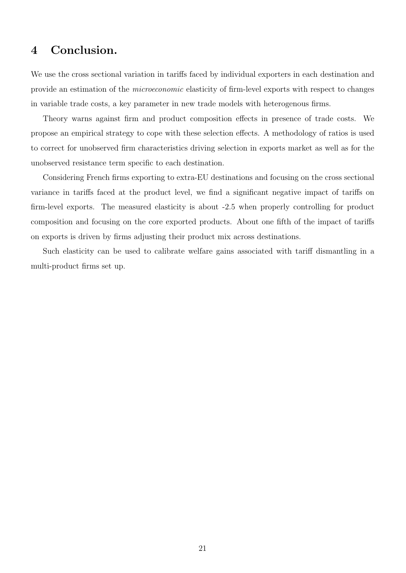## 4 Conclusion.

We use the cross sectional variation in tariffs faced by individual exporters in each destination and provide an estimation of the microeconomic elasticity of firm-level exports with respect to changes in variable trade costs, a key parameter in new trade models with heterogenous firms.

Theory warns against firm and product composition effects in presence of trade costs. We propose an empirical strategy to cope with these selection effects. A methodology of ratios is used to correct for unobserved firm characteristics driving selection in exports market as well as for the unobserved resistance term specific to each destination.

Considering French firms exporting to extra-EU destinations and focusing on the cross sectional variance in tariffs faced at the product level, we find a significant negative impact of tariffs on firm-level exports. The measured elasticity is about -2.5 when properly controlling for product composition and focusing on the core exported products. About one fifth of the impact of tariffs on exports is driven by firms adjusting their product mix across destinations.

Such elasticity can be used to calibrate welfare gains associated with tariff dismantling in a multi-product firms set up.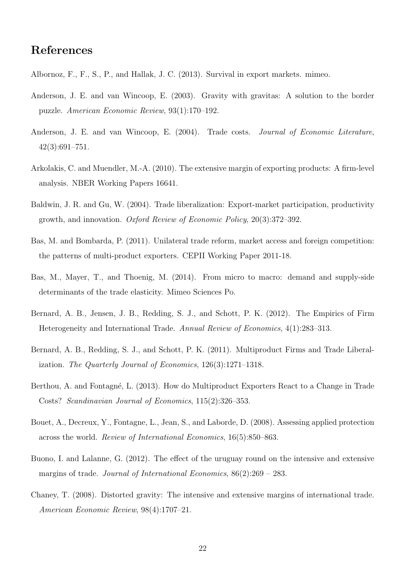## References

<span id="page-23-10"></span>Albornoz, F., F., S., P., and Hallak, J. C. (2013). Survival in export markets. mimeo.

- <span id="page-23-12"></span>Anderson, J. E. and van Wincoop, E. (2003). Gravity with gravitas: A solution to the border puzzle. American Economic Review, 93(1):170–192.
- <span id="page-23-4"></span>Anderson, J. E. and van Wincoop, E. (2004). Trade costs. *Journal of Economic Literature*, 42(3):691–751.
- <span id="page-23-2"></span>Arkolakis, C. and Muendler, M.-A. (2010). The extensive margin of exporting products: A firm-level analysis. NBER Working Papers 16641.
- <span id="page-23-5"></span>Baldwin, J. R. and Gu, W. (2004). Trade liberalization: Export-market participation, productivity growth, and innovation. Oxford Review of Economic Policy, 20(3):372–392.
- <span id="page-23-7"></span>Bas, M. and Bombarda, P. (2011). Unilateral trade reform, market access and foreign competition: the patterns of multi-product exporters. CEPII Working Paper 2011-18.
- <span id="page-23-8"></span>Bas, M., Mayer, T., and Thoenig, M. (2014). From micro to macro: demand and supply-side determinants of the trade elasticity. Mimeo Sciences Po.
- <span id="page-23-11"></span>Bernard, A. B., Jensen, J. B., Redding, S. J., and Schott, P. K. (2012). The Empirics of Firm Heterogeneity and International Trade. Annual Review of Economics, 4(1):283–313.
- <span id="page-23-1"></span>Bernard, A. B., Redding, S. J., and Schott, P. K. (2011). Multiproduct Firms and Trade Liberalization. The Quarterly Journal of Economics, 126(3):1271–1318.
- <span id="page-23-9"></span>Berthou, A. and Fontagné, L. (2013). How do Multiproduct Exporters React to a Change in Trade Costs? Scandinavian Journal of Economics, 115(2):326–353.
- <span id="page-23-3"></span>Bouet, A., Decreux, Y., Fontagne, L., Jean, S., and Laborde, D. (2008). Assessing applied protection across the world. Review of International Economics, 16(5):850–863.
- <span id="page-23-6"></span>Buono, I. and Lalanne, G. (2012). The effect of the uruguay round on the intensive and extensive margins of trade. Journal of International Economics,  $86(2):269-283$ .
- <span id="page-23-0"></span>Chaney, T. (2008). Distorted gravity: The intensive and extensive margins of international trade. American Economic Review, 98(4):1707–21.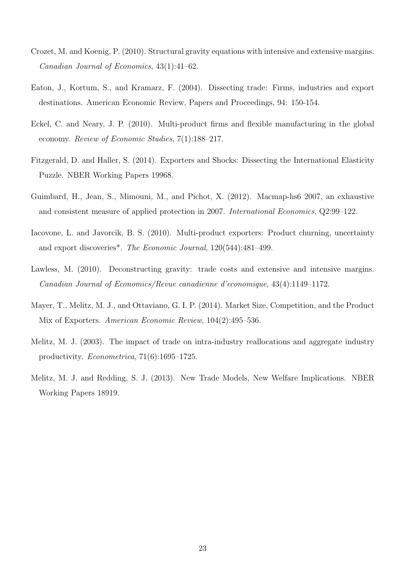- <span id="page-24-5"></span>Crozet, M. and Koenig, P. (2010). Structural gravity equations with intensive and extensive margins. Canadian Journal of Economics, 43(1):41–62.
- <span id="page-24-8"></span>Eaton, J., Kortum, S., and Kramarz, F. (2004). Dissecting trade: Firms, industries and export destinations. American Economic Review, Papers and Proceedings, 94: 150-154.
- <span id="page-24-2"></span>Eckel, C. and Neary, J. P. (2010). Multi-product firms and flexible manufacturing in the global economy. Review of Economic Studies, 7(1):188–217.
- <span id="page-24-7"></span>Fitzgerald, D. and Haller, S. (2014). Exporters and Shocks: Dissecting the International Elasticity Puzzle. NBER Working Papers 19968.
- <span id="page-24-9"></span>Guimbard, H., Jean, S., Mimouni, M., and Pichot, X. (2012). Macmap-hs6 2007, an exhaustive and consistent measure of applied protection in 2007. International Economics, Q2:99–122.
- <span id="page-24-6"></span>Iacovone, L. and Javorcik, B. S. (2010). Multi-product exporters: Product churning, uncertainty and export discoveries\*. The Economic Journal, 120(544):481–499.
- <span id="page-24-4"></span>Lawless, M.  $(2010)$ . Deconstructing gravity: trade costs and extensive and intensive margins. Canadian Journal of Economics/Revue canadienne d'economique, 43(4):1149–1172.
- <span id="page-24-3"></span>Mayer, T., Melitz, M. J., and Ottaviano, G. I. P. (2014). Market Size, Competition, and the Product Mix of Exporters. American Economic Review, 104(2):495–536.
- <span id="page-24-1"></span>Melitz, M. J. (2003). The impact of trade on intra-industry reallocations and aggregate industry productivity. Econometrica, 71(6):1695–1725.
- <span id="page-24-0"></span>Melitz, M. J. and Redding, S. J. (2013). New Trade Models, New Welfare Implications. NBER Working Papers 18919.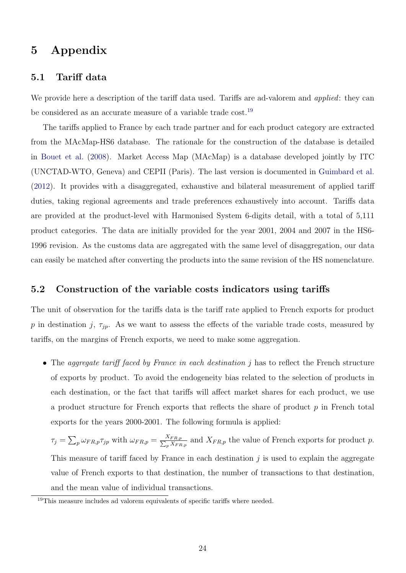## 5 Appendix

#### 5.1 Tariff data

We provide here a description of the tariff data used. Tariffs are ad-valorem and *applied*: they can be considered as an accurate measure of a variable trade cost.<sup>[19](#page-25-0)</sup>

The tariffs applied to France by each trade partner and for each product category are extracted from the MAcMap-HS6 database. The rationale for the construction of the database is detailed in [Bouet et al.](#page-23-3) [\(2008\)](#page-23-3). Market Access Map (MAcMap) is a database developed jointly by ITC (UNCTAD-WTO, Geneva) and CEPII (Paris). The last version is documented in [Guimbard et al.](#page-24-9) [\(2012\)](#page-24-9). It provides with a disaggregated, exhaustive and bilateral measurement of applied tariff duties, taking regional agreements and trade preferences exhaustively into account. Tariffs data are provided at the product-level with Harmonised System 6-digits detail, with a total of 5,111 product categories. The data are initially provided for the year 2001, 2004 and 2007 in the HS6- 1996 revision. As the customs data are aggregated with the same level of disaggregation, our data can easily be matched after converting the products into the same revision of the HS nomenclature.

#### 5.2 Construction of the variable costs indicators using tariffs

The unit of observation for the tariffs data is the tariff rate applied to French exports for product p in destination j,  $\tau_{jp}$ . As we want to assess the effects of the variable trade costs, measured by tariffs, on the margins of French exports, we need to make some aggregation.

• The *aggregate tariff faced by France in each destination*  $i$  has to reflect the French structure of exports by product. To avoid the endogeneity bias related to the selection of products in each destination, or the fact that tariffs will affect market shares for each product, we use a product structure for French exports that reflects the share of product  $p$  in French total exports for the years 2000-2001. The following formula is applied:

 $\tau_j = \sum_p \omega_{FR,p} \tau_{jp}$  with  $\omega_{FR,p} = \frac{X_{FR,p}}{\sum_n X_{FR,p}}$  $\frac{A_{FR,p}}{p X_{FR,p}}$  and  $X_{FR,p}$  the value of French exports for product p. This measure of tariff faced by France in each destination  $\dot{\eta}$  is used to explain the aggregate value of French exports to that destination, the number of transactions to that destination, and the mean value of individual transactions.

<span id="page-25-0"></span><sup>&</sup>lt;sup>19</sup>This measure includes ad valorem equivalents of specific tariffs where needed.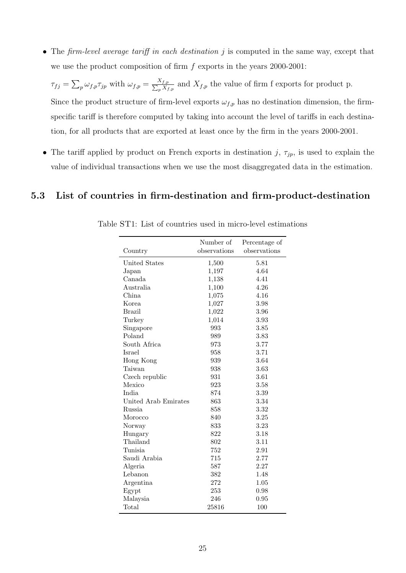• The firm-level average tariff in each destination  $j$  is computed in the same way, except that we use the product composition of firm f exports in the years 2000-2001:

 $\tau_{fj} = \sum_{p} \omega_{f,p} \tau_{jp}$  with  $\omega_{f,p} = \frac{X_{f,p}}{\sum_{p} X_{f,p}}$  $\frac{\Delta_{f,p}}{p X_{f,p}}$  and  $X_{f,p}$  the value of firm f exports for product p. Since the product structure of firm-level exports  $\omega_{f,p}$  has no destination dimension, the firmspecific tariff is therefore computed by taking into account the level of tariffs in each destination, for all products that are exported at least once by the firm in the years 2000-2001.

• The tariff applied by product on French exports in destination  $j, \tau_{jp}$ , is used to explain the value of individual transactions when we use the most disaggregated data in the estimation.

#### 5.3 List of countries in firm-destination and firm-product-destination

<span id="page-26-0"></span>

|                      | Number of    | Percentage of<br>observations |
|----------------------|--------------|-------------------------------|
| Country              | observations |                               |
| United States        | 1,500        | 5.81                          |
| Japan                | 1,197        | 4.64                          |
| Canada               | 1,138        | 4.41                          |
| Australia            | 1,100        | 4.26                          |
| China                | 1,075        | 4.16                          |
| Korea                | 1,027        | 3.98                          |
| Brazil               | 1,022        | 3.96                          |
| Turkey               | 1,014        | 3.93                          |
| Singapore            | 993          | 3.85                          |
| Poland               | 989          | 3.83                          |
| South Africa         | 973          | 3.77                          |
| Israel               | 958          | 3.71                          |
| Hong Kong            | 939          | 3.64                          |
| Taiwan               | 938          | 3.63                          |
| Czech republic       | 931          | 3.61                          |
| Mexico               | 923          | 3.58                          |
| India                | 874          | 3.39                          |
| United Arab Emirates | 863          | 3.34                          |
| Russia               | 858          | 3.32                          |
| Morocco              | 840          | 3.25                          |
| Norway               | 833          | 3.23                          |
| Hungary              | 822          | 3.18                          |
| Thailand             | 802          | 3.11                          |
| Tunisia              | 752          | 2.91                          |
| Saudi Arabia         | 715          | 2.77                          |
| Algeria              | 587          | 2.27                          |
| Lebanon              | 382          | 1.48                          |
| Argentina            | 272          | 1.05                          |
| Egypt                | 253          | 0.98                          |
| Malaysia             | 246          | 0.95                          |
| Total                | 25816        | 100                           |

Table ST1: List of countries used in micro-level estimations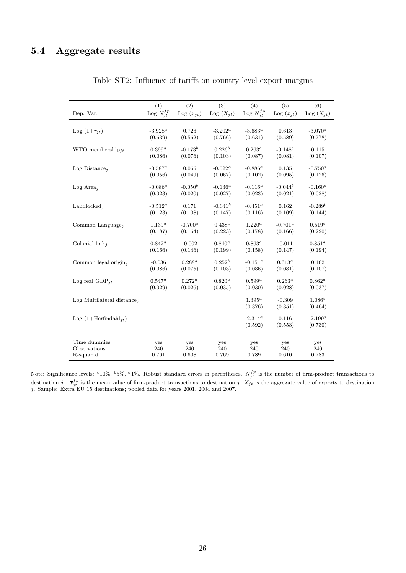## 5.4 Aggregate results

| Dep. Var.                              | (1)               | (2)                       | (3)                  | (4)                    | (5)                       | (6)                    |
|----------------------------------------|-------------------|---------------------------|----------------------|------------------------|---------------------------|------------------------|
|                                        | Log $N_{it}^{fp}$ | Log $(\overline{x}_{it})$ | $\text{Log}(X_{it})$ | Log $N_{it}^{fp}$      | Log $(\overline{x}_{jt})$ | Log $(X_{jt})$         |
| Log $(1+\tau_{it})$                    | $-3.928^a$        | 0.726                     | $-3.202^a$           | $-3.683^a$             | 0.613                     | $-3.070^a$             |
|                                        | (0.639)           | (0.562)                   | (0.766)              | (0.631)                | (0.589)                   | (0.778)                |
| WTO membership <sub>it</sub>           | $0.399^a$         | $-0.173^b$                | $0.226^b$            | $0.263^a$              | $-0.148^c$                | 0.115                  |
|                                        | (0.086)           | (0.076)                   | (0.103)              | (0.087)                | (0.081)                   | (0.107)                |
| Log Distance <sub>j</sub>              | $-0.587^a$        | 0.065                     | $-0.522^a$           | $-0.886^a$             | 0.135                     | $-0.750^a$             |
|                                        | (0.056)           | (0.049)                   | (0.067)              | (0.102)                | (0.095)                   | (0.126)                |
| $Log Area_i$                           | $-0.086^a$        | $-0.050^{b}$              | $-0.136^a$           | $-0.116^a$             | $-0.044^b$                | $-0.160^a$             |
|                                        | (0.023)           | (0.020)                   | (0.027)              | (0.023)                | (0.021)                   | (0.028)                |
| Landlocked <sub>i</sub>                | $-0.512^a$        | 0.171                     | $-0.341^{b}$         | $-0.451^a$             | 0.162                     | $-0.289^b$             |
|                                        | (0.123)           | (0.108)                   | (0.147)              | (0.116)                | (0.109)                   | (0.144)                |
| Common Language <sub>i</sub>           | $1.139^{a}$       | $-0.700^a$                | $0.438^{c}$          | $1.220^{a}$            | $-0.701^a$                | $0.519^{b}$            |
|                                        | (0.187)           | (0.164)                   | (0.223)              | (0.178)                | (0.166)                   | (0.220)                |
| Colonial $\lim_{i}$                    | $0.842^a$         | $-0.002$                  | $0.840^a$            | $0.863^a$              | $-0.011$                  | $0.851^{a}$            |
|                                        | (0.166)           | (0.146)                   | (0.199)              | (0.158)                | (0.147)                   | (0.194)                |
| Common legal origin <sub>i</sub>       | $-0.036$          | $0.288^{a}$               | $0.252^b$            | $-0.151^{c}$           | $0.313^{a}$               | 0.162                  |
|                                        | (0.086)           | (0.075)                   | (0.103)              | (0.086)                | (0.081)                   | (0.107)                |
| Log real GDP $_{it}$                   | $0.547^a$         | $0.272^a$                 | $0.820^{a}$          | $0.599^a$              | $0.263^a$                 | $0.862^a$              |
|                                        | (0.029)           | (0.026)                   | (0.035)              | (0.030)                | (0.028)                   | (0.037)                |
| Log Multilateral distance <sub>i</sub> |                   |                           |                      | $1.395^{a}$<br>(0.376) | $-0.309$<br>(0.351)       | $1.086^{b}$<br>(0.464) |
| Log $(1+Herfindahl_{it})$              |                   |                           |                      | $-2.314^a$<br>(0.592)  | 0.116<br>(0.553)          | $-2.199^a$<br>(0.730)  |
| Time dummies                           | yes               | yes                       | yes                  | yes                    | yes                       | yes                    |
| Observations                           | 240               | 240                       | 240                  | 240                    | 240                       | 240                    |
| R-squared                              | 0.761             | 0.608                     | 0.769                | 0.789                  | 0.610                     | 0.783                  |

<span id="page-27-0"></span>

|  |  |  |  |  | Table ST2: Influence of tariffs on country-level export margins |  |  |
|--|--|--|--|--|-----------------------------------------------------------------|--|--|
|--|--|--|--|--|-----------------------------------------------------------------|--|--|

Note: Significance levels: <sup>c</sup>10%, <sup>b</sup>5%, <sup>a</sup>1%. Robust standard errors in parentheses.  $N_{jt}^{fp}$  is the number of firm-product transactions to destination  $j$ .  $\overline{x}_{jt}^{fp}$  is the mean value of firm-product transactions to destination j.  $X_{jt}$  is the aggregate value of exports to destination j. Sample: Extra EU 15 destinations; pooled data for years 2001, 2004